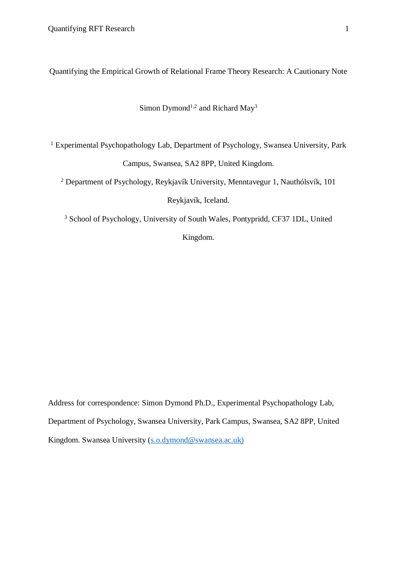Quantifying the Empirical Growth of Relational Frame Theory Research: A Cautionary Note

# Simon Dymond<sup>1,2</sup> and Richard May<sup>3</sup>

<sup>1</sup> Experimental Psychopathology Lab, Department of Psychology, Swansea University, Park Campus, Swansea, SA2 8PP, United Kingdom.

<sup>2</sup> Department of Psychology, Reykjavík University, Menntavegur 1, Nauthólsvík, 101 Reykjavík, Iceland.

<sup>3</sup> School of Psychology, University of South Wales, Pontypridd, CF37 1DL, United Kingdom.

Address for correspondence: Simon Dymond Ph.D., Experimental Psychopathology Lab, Department of Psychology, Swansea University, Park Campus, Swansea, SA2 8PP, United Kingdom. Swansea University (s.o.dymond@swansea.ac.uk)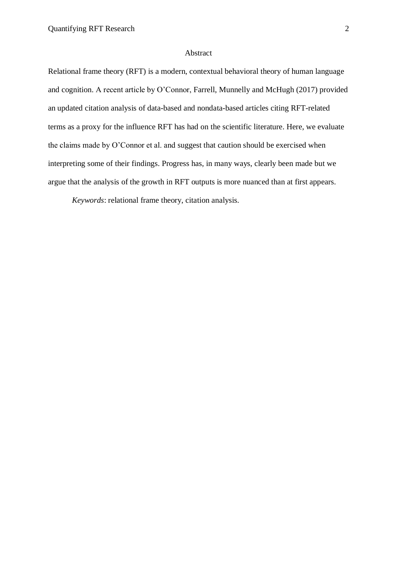#### Abstract

Relational frame theory (RFT) is a modern, contextual behavioral theory of human language and cognition. A recent article by O'Connor, Farrell, Munnelly and McHugh (2017) provided an updated citation analysis of data-based and nondata-based articles citing RFT-related terms as a proxy for the influence RFT has had on the scientific literature. Here, we evaluate the claims made by O'Connor et al. and suggest that caution should be exercised when interpreting some of their findings. Progress has, in many ways, clearly been made but we argue that the analysis of the growth in RFT outputs is more nuanced than at first appears.

*Keywords*: relational frame theory, citation analysis.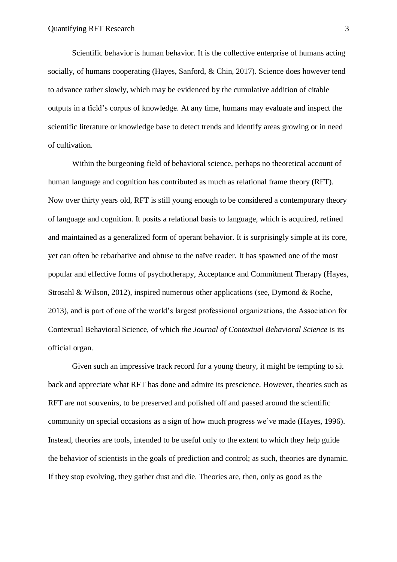Scientific behavior is human behavior. It is the collective enterprise of humans acting socially, of humans cooperating (Hayes, Sanford, & Chin, 2017). Science does however tend to advance rather slowly, which may be evidenced by the cumulative addition of citable outputs in a field's corpus of knowledge. At any time, humans may evaluate and inspect the scientific literature or knowledge base to detect trends and identify areas growing or in need of cultivation.

Within the burgeoning field of behavioral science, perhaps no theoretical account of human language and cognition has contributed as much as relational frame theory (RFT). Now over thirty years old, RFT is still young enough to be considered a contemporary theory of language and cognition. It posits a relational basis to language, which is acquired, refined and maintained as a generalized form of operant behavior. It is surprisingly simple at its core, yet can often be rebarbative and obtuse to the naïve reader. It has spawned one of the most popular and effective forms of psychotherapy, Acceptance and Commitment Therapy (Hayes, Strosahl & Wilson, 2012), inspired numerous other applications (see, Dymond & Roche, 2013), and is part of one of the world's largest professional organizations, the Association for Contextual Behavioral Science, of which *the Journal of Contextual Behavioral Science* is its official organ.

Given such an impressive track record for a young theory, it might be tempting to sit back and appreciate what RFT has done and admire its prescience. However, theories such as RFT are not souvenirs, to be preserved and polished off and passed around the scientific community on special occasions as a sign of how much progress we've made (Hayes, 1996). Instead, theories are tools, intended to be useful only to the extent to which they help guide the behavior of scientists in the goals of prediction and control; as such, theories are dynamic. If they stop evolving, they gather dust and die. Theories are, then, only as good as the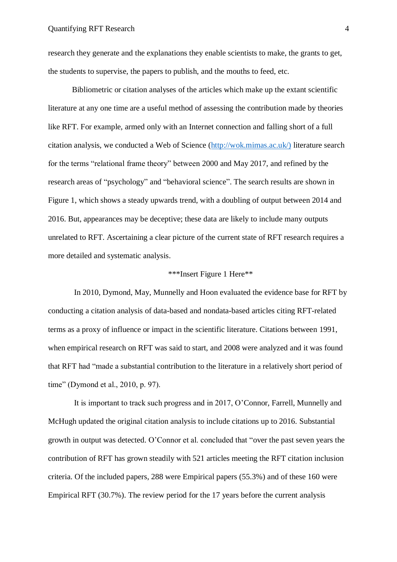research they generate and the explanations they enable scientists to make, the grants to get, the students to supervise, the papers to publish, and the mouths to feed, etc.

Bibliometric or citation analyses of the articles which make up the extant scientific literature at any one time are a useful method of assessing the contribution made by theories like RFT. For example, armed only with an Internet connection and falling short of a full citation analysis, we conducted a Web of Science (http://wok.mimas.ac.uk/) literature search for the terms "relational frame theory" between 2000 and May 2017, and refined by the research areas of "psychology" and "behavioral science". The search results are shown in Figure 1, which shows a steady upwards trend, with a doubling of output between 2014 and 2016. But, appearances may be deceptive; these data are likely to include many outputs unrelated to RFT. Ascertaining a clear picture of the current state of RFT research requires a more detailed and systematic analysis.

## \*\*\*Insert Figure 1 Here\*\*

In 2010, Dymond, May, Munnelly and Hoon evaluated the evidence base for RFT by conducting a citation analysis of data-based and nondata-based articles citing RFT-related terms as a proxy of influence or impact in the scientific literature. Citations between 1991, when empirical research on RFT was said to start, and 2008 were analyzed and it was found that RFT had "made a substantial contribution to the literature in a relatively short period of time" (Dymond et al., 2010, p. 97).

It is important to track such progress and in 2017, O'Connor, Farrell, Munnelly and McHugh updated the original citation analysis to include citations up to 2016. Substantial growth in output was detected. O'Connor et al. concluded that "over the past seven years the contribution of RFT has grown steadily with 521 articles meeting the RFT citation inclusion criteria. Of the included papers, 288 were Empirical papers (55.3%) and of these 160 were Empirical RFT (30.7%). The review period for the 17 years before the current analysis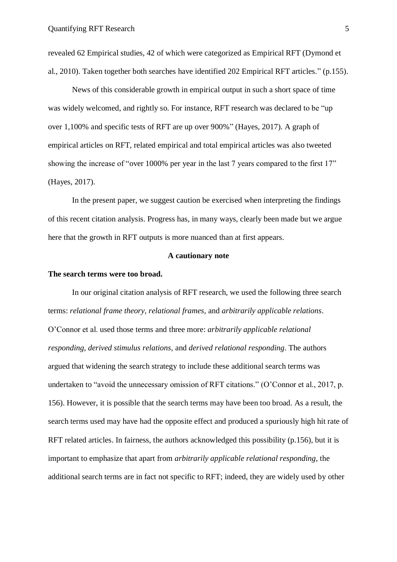revealed 62 Empirical studies, 42 of which were categorized as Empirical RFT (Dymond et al., 2010). Taken together both searches have identified 202 Empirical RFT articles." (p.155).

News of this considerable growth in empirical output in such a short space of time was widely welcomed, and rightly so. For instance, RFT research was declared to be "up over 1,100% and specific tests of RFT are up over 900%" (Hayes, 2017). A graph of empirical articles on RFT, related empirical and total empirical articles was also tweeted showing the increase of "over 1000% per year in the last 7 years compared to the first 17" (Hayes, 2017).

In the present paper, we suggest caution be exercised when interpreting the findings of this recent citation analysis. Progress has, in many ways, clearly been made but we argue here that the growth in RFT outputs is more nuanced than at first appears.

### **A cautionary note**

### **The search terms were too broad.**

In our original citation analysis of RFT research, we used the following three search terms: *relational frame theory, relational frames,* and *arbitrarily applicable relations*. O'Connor et al. used those terms and three more: *arbitrarily applicable relational responding, derived stimulus relations,* and *derived relational responding*. The authors argued that widening the search strategy to include these additional search terms was undertaken to "avoid the unnecessary omission of RFT citations." (O'Connor et al., 2017, p. 156). However, it is possible that the search terms may have been too broad. As a result, the search terms used may have had the opposite effect and produced a spuriously high hit rate of RFT related articles. In fairness, the authors acknowledged this possibility (p.156), but it is important to emphasize that apart from *arbitrarily applicable relational responding*, the additional search terms are in fact not specific to RFT; indeed, they are widely used by other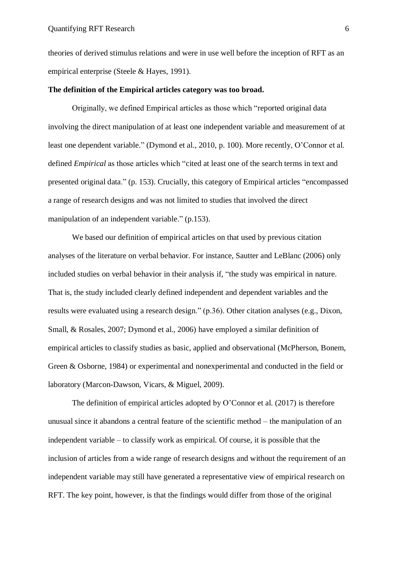theories of derived stimulus relations and were in use well before the inception of RFT as an empirical enterprise (Steele & Hayes, 1991).

#### **The definition of the Empirical articles category was too broad.**

Originally, we defined Empirical articles as those which "reported original data involving the direct manipulation of at least one independent variable and measurement of at least one dependent variable." (Dymond et al., 2010, p. 100). More recently, O'Connor et al. defined *Empirical* as those articles which "cited at least one of the search terms in text and presented original data." (p. 153). Crucially, this category of Empirical articles "encompassed a range of research designs and was not limited to studies that involved the direct manipulation of an independent variable." (p.153).

We based our definition of empirical articles on that used by previous citation analyses of the literature on verbal behavior. For instance, Sautter and LeBlanc (2006) only included studies on verbal behavior in their analysis if, "the study was empirical in nature. That is, the study included clearly defined independent and dependent variables and the results were evaluated using a research design." (p.36). Other citation analyses (e.g., Dixon, Small, & Rosales, 2007; Dymond et al., 2006) have employed a similar definition of empirical articles to classify studies as basic, applied and observational (McPherson, Bonem, Green & Osborne, 1984) or experimental and nonexperimental and conducted in the field or laboratory (Marcon-Dawson, Vicars, & Miguel, 2009).

The definition of empirical articles adopted by O'Connor et al. (2017) is therefore unusual since it abandons a central feature of the scientific method – the manipulation of an independent variable – to classify work as empirical. Of course, it is possible that the inclusion of articles from a wide range of research designs and without the requirement of an independent variable may still have generated a representative view of empirical research on RFT. The key point, however, is that the findings would differ from those of the original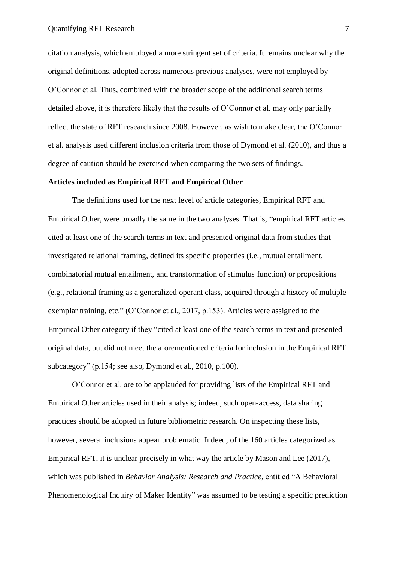citation analysis, which employed a more stringent set of criteria. It remains unclear why the original definitions, adopted across numerous previous analyses, were not employed by O'Connor et al. Thus, combined with the broader scope of the additional search terms detailed above, it is therefore likely that the results of O'Connor et al. may only partially reflect the state of RFT research since 2008. However, as wish to make clear, the O'Connor et al. analysis used different inclusion criteria from those of Dymond et al. (2010), and thus a degree of caution should be exercised when comparing the two sets of findings.

## **Articles included as Empirical RFT and Empirical Other**

The definitions used for the next level of article categories, Empirical RFT and Empirical Other, were broadly the same in the two analyses. That is, "empirical RFT articles cited at least one of the search terms in text and presented original data from studies that investigated relational framing, defined its specific properties (i.e., mutual entailment, combinatorial mutual entailment, and transformation of stimulus function) or propositions (e.g., relational framing as a generalized operant class, acquired through a history of multiple exemplar training, etc." (O'Connor et al., 2017, p.153). Articles were assigned to the Empirical Other category if they "cited at least one of the search terms in text and presented original data, but did not meet the aforementioned criteria for inclusion in the Empirical RFT subcategory" (p.154; see also, Dymond et al., 2010, p.100).

O'Connor et al. are to be applauded for providing lists of the Empirical RFT and Empirical Other articles used in their analysis; indeed, such open-access, data sharing practices should be adopted in future bibliometric research. On inspecting these lists, however, several inclusions appear problematic. Indeed, of the 160 articles categorized as Empirical RFT, it is unclear precisely in what way the article by Mason and Lee (2017), which was published in *Behavior Analysis: Research and Practice*, entitled "A Behavioral Phenomenological Inquiry of Maker Identity" was assumed to be testing a specific prediction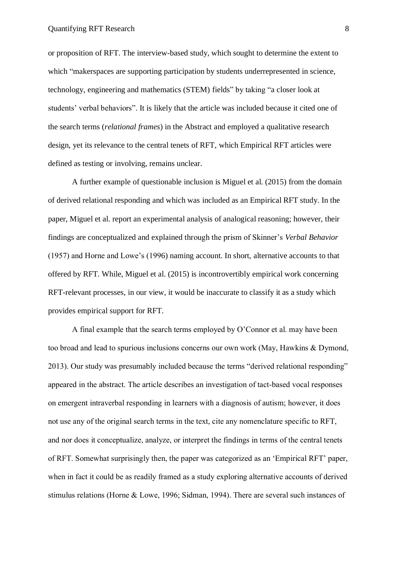or proposition of RFT. The interview-based study, which sought to determine the extent to which "makerspaces are supporting participation by students underrepresented in science, technology, engineering and mathematics (STEM) fields" by taking "a closer look at students' verbal behaviors". It is likely that the article was included because it cited one of the search terms (*relational frames*) in the Abstract and employed a qualitative research design, yet its relevance to the central tenets of RFT, which Empirical RFT articles were defined as testing or involving, remains unclear.

A further example of questionable inclusion is Miguel et al. (2015) from the domain of derived relational responding and which was included as an Empirical RFT study. In the paper, Miguel et al. report an experimental analysis of analogical reasoning; however, their findings are conceptualized and explained through the prism of Skinner's *Verbal Behavior* (1957) and Horne and Lowe's (1996) naming account. In short, alternative accounts to that offered by RFT. While, Miguel et al. (2015) is incontrovertibly empirical work concerning RFT-relevant processes, in our view, it would be inaccurate to classify it as a study which provides empirical support for RFT.

A final example that the search terms employed by O'Connor et al. may have been too broad and lead to spurious inclusions concerns our own work (May, Hawkins & Dymond, 2013). Our study was presumably included because the terms "derived relational responding" appeared in the abstract. The article describes an investigation of tact-based vocal responses on emergent intraverbal responding in learners with a diagnosis of autism; however, it does not use any of the original search terms in the text, cite any nomenclature specific to RFT, and nor does it conceptualize, analyze, or interpret the findings in terms of the central tenets of RFT. Somewhat surprisingly then, the paper was categorized as an 'Empirical RFT' paper, when in fact it could be as readily framed as a study exploring alternative accounts of derived stimulus relations (Horne & Lowe, 1996; Sidman, 1994). There are several such instances of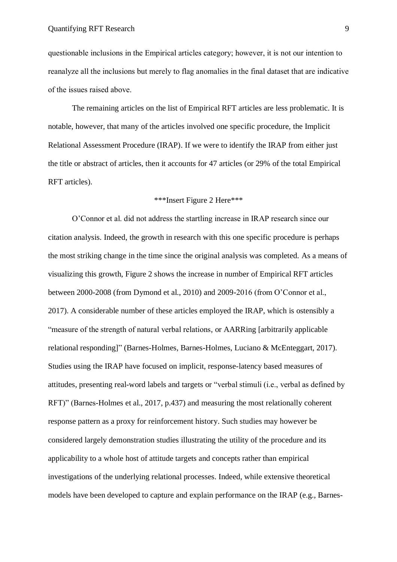questionable inclusions in the Empirical articles category; however, it is not our intention to reanalyze all the inclusions but merely to flag anomalies in the final dataset that are indicative of the issues raised above.

The remaining articles on the list of Empirical RFT articles are less problematic. It is notable, however, that many of the articles involved one specific procedure, the Implicit Relational Assessment Procedure (IRAP). If we were to identify the IRAP from either just the title or abstract of articles, then it accounts for 47 articles (or 29% of the total Empirical RFT articles).

## \*\*\*Insert Figure 2 Here\*\*\*

O'Connor et al. did not address the startling increase in IRAP research since our citation analysis. Indeed, the growth in research with this one specific procedure is perhaps the most striking change in the time since the original analysis was completed. As a means of visualizing this growth, Figure 2 shows the increase in number of Empirical RFT articles between 2000-2008 (from Dymond et al., 2010) and 2009-2016 (from O'Connor et al., 2017). A considerable number of these articles employed the IRAP, which is ostensibly a "measure of the strength of natural verbal relations, or AARRing [arbitrarily applicable relational responding]" (Barnes-Holmes, Barnes-Holmes, Luciano & McEnteggart, 2017). Studies using the IRAP have focused on implicit, response-latency based measures of attitudes, presenting real-word labels and targets or "verbal stimuli (i.e., verbal as defined by RFT)" (Barnes-Holmes et al., 2017, p.437) and measuring the most relationally coherent response pattern as a proxy for reinforcement history. Such studies may however be considered largely demonstration studies illustrating the utility of the procedure and its applicability to a whole host of attitude targets and concepts rather than empirical investigations of the underlying relational processes. Indeed, while extensive theoretical models have been developed to capture and explain performance on the IRAP (e.g., Barnes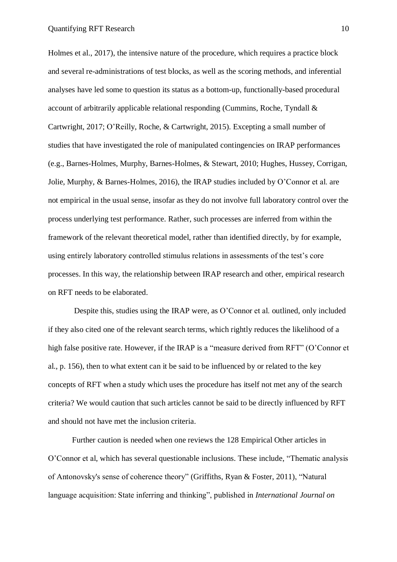Holmes et al., 2017), the intensive nature of the procedure, which requires a practice block and several re-administrations of test blocks, as well as the scoring methods, and inferential analyses have led some to question its status as a bottom-up, functionally-based procedural account of arbitrarily applicable relational responding (Cummins, Roche, Tyndall & Cartwright, 2017; O'Reilly, Roche, & Cartwright, 2015). Excepting a small number of studies that have investigated the role of manipulated contingencies on IRAP performances (e.g., Barnes-Holmes, Murphy, Barnes-Holmes, & Stewart, 2010; Hughes, Hussey, Corrigan, Jolie, Murphy, & Barnes-Holmes, 2016), the IRAP studies included by O'Connor et al. are not empirical in the usual sense, insofar as they do not involve full laboratory control over the process underlying test performance. Rather, such processes are inferred from within the framework of the relevant theoretical model, rather than identified directly, by for example, using entirely laboratory controlled stimulus relations in assessments of the test's core processes. In this way, the relationship between IRAP research and other, empirical research on RFT needs to be elaborated.

Despite this, studies using the IRAP were, as O'Connor et al. outlined, only included if they also cited one of the relevant search terms, which rightly reduces the likelihood of a high false positive rate. However, if the IRAP is a "measure derived from RFT" (O'Connor et al., p. 156), then to what extent can it be said to be influenced by or related to the key concepts of RFT when a study which uses the procedure has itself not met any of the search criteria? We would caution that such articles cannot be said to be directly influenced by RFT and should not have met the inclusion criteria.

Further caution is needed when one reviews the 128 Empirical Other articles in O'Connor et al, which has several questionable inclusions. These include, "Thematic analysis of Antonovsky's sense of coherence theory" (Griffiths, Ryan & Foster, 2011), "Natural language acquisition: State inferring and thinking", published in *International Journal on*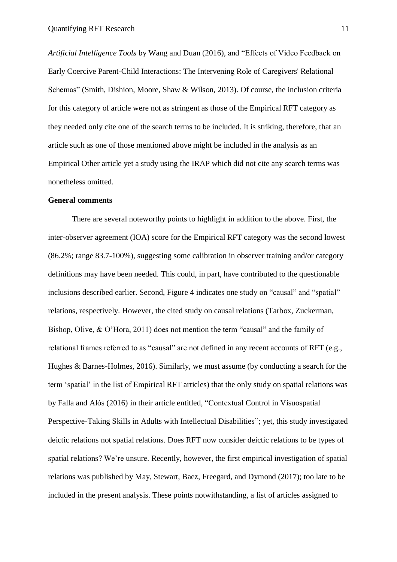*Artificial Intelligence Tools* by Wang and Duan (2016), and "Effects of Video Feedback on Early Coercive Parent-Child Interactions: The Intervening Role of Caregivers' Relational Schemas" (Smith, Dishion, Moore, Shaw & Wilson, 2013). Of course, the inclusion criteria for this category of article were not as stringent as those of the Empirical RFT category as they needed only cite one of the search terms to be included. It is striking, therefore, that an article such as one of those mentioned above might be included in the analysis as an Empirical Other article yet a study using the IRAP which did not cite any search terms was nonetheless omitted.

## **General comments**

There are several noteworthy points to highlight in addition to the above. First, the inter-observer agreement (IOA) score for the Empirical RFT category was the second lowest (86.2%; range 83.7-100%), suggesting some calibration in observer training and/or category definitions may have been needed. This could, in part, have contributed to the questionable inclusions described earlier. Second, Figure 4 indicates one study on "causal" and "spatial" relations, respectively. However, the cited study on causal relations (Tarbox, Zuckerman, Bishop, Olive, & O'Hora, 2011) does not mention the term "causal" and the family of relational frames referred to as "causal" are not defined in any recent accounts of RFT (e.g., Hughes & Barnes-Holmes, 2016). Similarly, we must assume (by conducting a search for the term 'spatial' in the list of Empirical RFT articles) that the only study on spatial relations was by Falla and Alós (2016) in their article entitled, "Contextual Control in Visuospatial Perspective-Taking Skills in Adults with Intellectual Disabilities"; yet, this study investigated deictic relations not spatial relations. Does RFT now consider deictic relations to be types of spatial relations? We're unsure. Recently, however, the first empirical investigation of spatial relations was published by May, Stewart, Baez, Freegard, and Dymond (2017); too late to be included in the present analysis. These points notwithstanding, a list of articles assigned to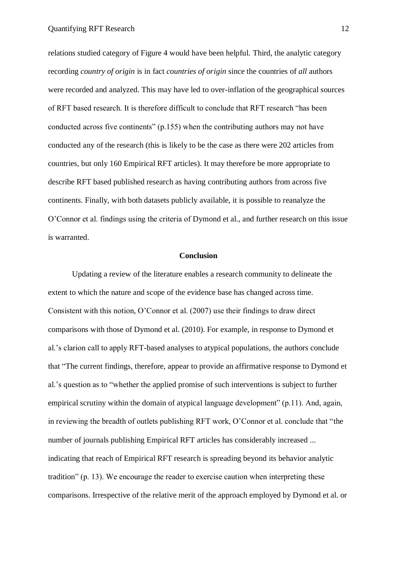relations studied category of Figure 4 would have been helpful. Third, the analytic category recording *country of origin* is in fact *countries of origin* since the countries of *all* authors were recorded and analyzed. This may have led to over-inflation of the geographical sources of RFT based research. It is therefore difficult to conclude that RFT research "has been conducted across five continents" (p.155) when the contributing authors may not have conducted any of the research (this is likely to be the case as there were 202 articles from countries, but only 160 Empirical RFT articles). It may therefore be more appropriate to describe RFT based published research as having contributing authors from across five continents. Finally, with both datasets publicly available, it is possible to reanalyze the O'Connor et al. findings using the criteria of Dymond et al., and further research on this issue is warranted.

## **Conclusion**

Updating a review of the literature enables a research community to delineate the extent to which the nature and scope of the evidence base has changed across time. Consistent with this notion, O'Connor et al. (2007) use their findings to draw direct comparisons with those of Dymond et al. (2010). For example, in response to Dymond et al.'s clarion call to apply RFT-based analyses to atypical populations, the authors conclude that "The current findings, therefore, appear to provide an affirmative response to Dymond et al.'s question as to "whether the applied promise of such interventions is subject to further empirical scrutiny within the domain of atypical language development" (p.11). And, again, in reviewing the breadth of outlets publishing RFT work, O'Connor et al. conclude that "the number of journals publishing Empirical RFT articles has considerably increased ... indicating that reach of Empirical RFT research is spreading beyond its behavior analytic tradition" (p. 13). We encourage the reader to exercise caution when interpreting these comparisons. Irrespective of the relative merit of the approach employed by Dymond et al. or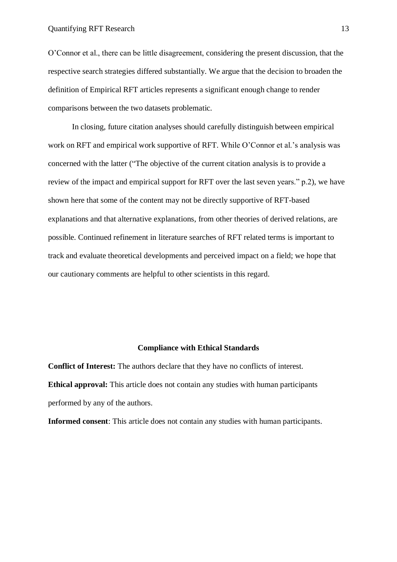O'Connor et al., there can be little disagreement, considering the present discussion, that the respective search strategies differed substantially. We argue that the decision to broaden the definition of Empirical RFT articles represents a significant enough change to render comparisons between the two datasets problematic.

In closing, future citation analyses should carefully distinguish between empirical work on RFT and empirical work supportive of RFT. While O'Connor et al.'s analysis was concerned with the latter ("The objective of the current citation analysis is to provide a review of the impact and empirical support for RFT over the last seven years." p.2), we have shown here that some of the content may not be directly supportive of RFT-based explanations and that alternative explanations, from other theories of derived relations, are possible. Continued refinement in literature searches of RFT related terms is important to track and evaluate theoretical developments and perceived impact on a field; we hope that our cautionary comments are helpful to other scientists in this regard.

# **Compliance with Ethical Standards**

**Conflict of Interest:** The authors declare that they have no conflicts of interest. **Ethical approval:** This article does not contain any studies with human participants performed by any of the authors.

**Informed consent**: This article does not contain any studies with human participants.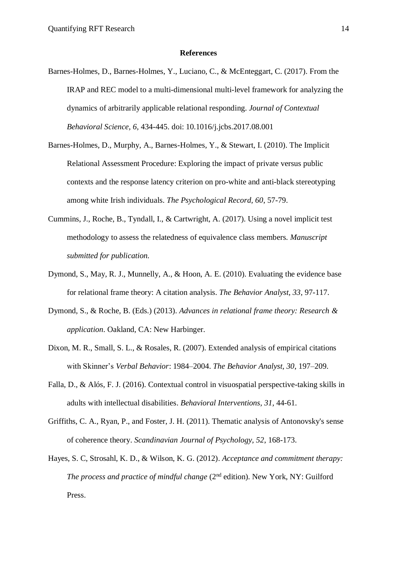#### **References**

- Barnes-Holmes, D., Barnes-Holmes, Y., Luciano, C., & McEnteggart, C. (2017). From the IRAP and REC model to a multi-dimensional multi-level framework for analyzing the dynamics of arbitrarily applicable relational responding. *Journal of Contextual Behavioral Science, 6,* 434-445. doi: 10.1016/j.jcbs.2017.08.001
- Barnes-Holmes, D., Murphy, A., Barnes-Holmes, Y., & Stewart, I. (2010). The Implicit Relational Assessment Procedure: Exploring the impact of private versus public contexts and the response latency criterion on pro-white and anti-black stereotyping among white Irish individuals. *The Psychological Record, 60*, 57-79.
- Cummins, J., Roche, B., Tyndall, I., & Cartwright, A. (2017). Using a novel implicit test methodology to assess the relatedness of equivalence class members*. Manuscript submitted for publication.*
- Dymond, S., May, R. J., Munnelly, A., & Hoon, A. E. (2010). Evaluating the evidence base for relational frame theory: A citation analysis. *The Behavior Analyst, 33*, 97-117.
- Dymond, S., & Roche, B. (Eds.) (2013). *Advances in relational frame theory: Research & application*. Oakland, CA: New Harbinger.
- Dixon, M. R., Small, S. L., & Rosales, R. (2007). Extended analysis of empirical citations with Skinner's *Verbal Behavior*: 1984–2004. *The Behavior Analyst, 30*, 197–209.
- Falla, D., & Alós, F. J. (2016). Contextual control in visuospatial perspective-taking skills in adults with intellectual disabilities. *Behavioral Interventions, 31,* 44-61.
- Griffiths, C. A., Ryan, P., and Foster, J. H. (2011). Thematic analysis of Antonovsky's sense of coherence theory. *Scandinavian Journal of Psychology, 52*, 168-173.
- Hayes, S. C, Strosahl, K. D., & Wilson, K. G. (2012). *Acceptance and commitment therapy: The process and practice of mindful change* (2<sup>nd</sup> edition). New York, NY: Guilford Press.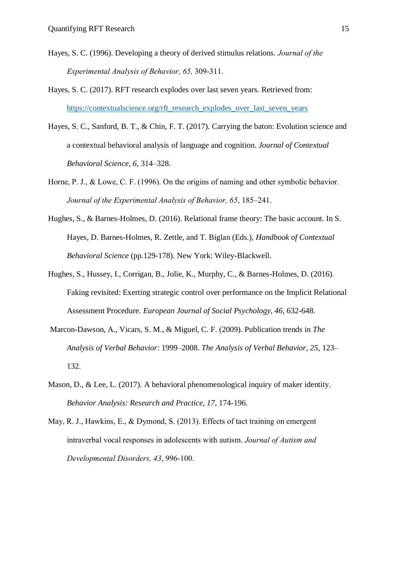- Hayes, S. C. (1996). Developing a theory of derived stimulus relations. *Journal of the Experimental Analysis of Behavior, 65,* 309-311.
- Hayes, S. C. (2017). RFT research explodes over last seven years. Retrieved from: https://contextualscience.org/rft\_research\_explodes\_over\_last\_seven\_years
- Hayes, S. C., Sanford, B. T., & Chin, F. T. (2017). Carrying the baton: Evolution science and a contextual behavioral analysis of language and cognition. *Journal of Contextual Behavioral Science, 6*, 314–328.
- Horne, P. J., & Lowe, C. F. (1996). On the origins of naming and other symbolic behavior. *Journal of the Experimental Analysis of Behavior, 65*, 185–241.
- Hughes, S., & Barnes-Holmes, D. (2016). Relational frame theory: The basic account. In S. Hayes, D. Barnes-Holmes, R. Zettle, and T. Biglan (Eds.), *Handbook of Contextual Behavioral Science* (pp.129-178). New York: Wiley-Blackwell.
- Hughes, S., Hussey, I., Corrigan, B., Jolie, K., Murphy, C., & Barnes-Holmes, D. (2016). Faking revisited: Exerting strategic control over performance on the Implicit Relational Assessment Procedure. *European Journal of Social Psychology, 46*, 632-648.
- Marcon-Dawson, A., Vicars, S. M., & Miguel, C. F. (2009). Publication trends in *The Analysis of Verbal Behavior*: 1999–2008. *The Analysis of Verbal Behavior, 25*, 123– 132.
- Mason, D., & Lee, L. (2017). A behavioral phenomenological inquiry of maker identity. *Behavior Analysis: Research and Practice, 17*, 174-196.
- May, R. J., Hawkins, E., & Dymond, S. (2013). Effects of tact training on emergent intraverbal vocal responses in adolescents with autism. *Journal of Autism and Developmental Disorders, 43*, 996-100.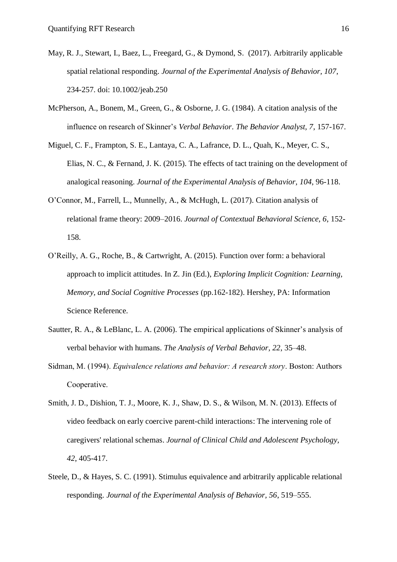- May, R. J., Stewart, I., Baez, L., Freegard, G., & Dymond, S. (2017). Arbitrarily applicable spatial relational responding. *Journal of the Experimental Analysis of Behavior, 107*, 234-257. doi: 10.1002/jeab.250
- McPherson, A., Bonem, M., Green, G., & Osborne, J. G. (1984). A citation analysis of the influence on research of Skinner's *Verbal Behavior*. *The Behavior Analyst, 7*, 157-167.
- Miguel, C. F., Frampton, S. E., Lantaya, C. A., Lafrance, D. L., Quah, K., Meyer, C. S., Elias, N. C., & Fernand, J. K. (2015). The effects of tact training on the development of analogical reasoning. *Journal of the Experimental Analysis of Behavior, 104*, 96-118.
- O'Connor, M., Farrell, L., Munnelly, A., & McHugh, L. (2017). Citation analysis of relational frame theory: 2009–2016. *Journal of Contextual Behavioral Science, 6*, 152- 158.
- O'Reilly, A. G., Roche, B., & Cartwright, A. (2015). Function over form: a behavioral approach to implicit attitudes. In Z. Jin (Ed.), *Exploring Implicit Cognition: Learning, Memory, and Social Cognitive Processes* (pp.162-182). Hershey, PA: Information Science Reference.
- Sautter, R. A., & LeBlanc, L. A. (2006). The empirical applications of Skinner's analysis of verbal behavior with humans. *The Analysis of Verbal Behavior, 22*, 35–48.
- Sidman, M. (1994). *Equivalence relations and behavior: A research story*. Boston: Authors Cooperative.
- Smith, J. D., Dishion, T. J., Moore, K. J., Shaw, D. S., & Wilson, M. N. (2013). Effects of video feedback on early coercive parent-child interactions: The intervening role of caregivers' relational schemas. *Journal of Clinical Child and Adolescent Psychology, 42*, 405-417.
- Steele, D., & Hayes, S. C. (1991). Stimulus equivalence and arbitrarily applicable relational responding. *Journal of the Experimental Analysis of Behavior, 56*, 519–555.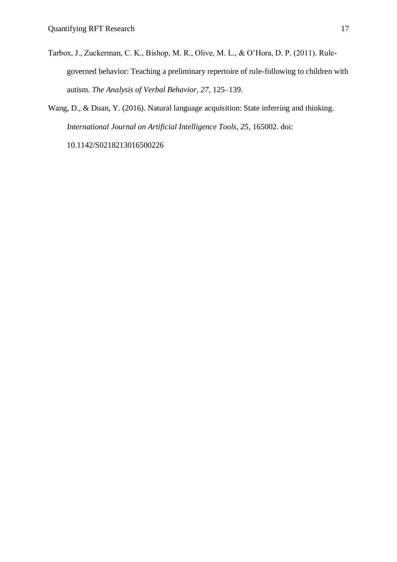- Tarbox, J., Zuckerman, C. K., Bishop, M. R., Olive, M. L., & O'Hora, D. P. (2011). Rulegoverned behavior: Teaching a preliminary repertoire of rule-following to children with autism. *The Analysis of Verbal Behavior, 27*, 125–139.
- Wang, D., & Duan, Y. (2016). Natural language acquisition: State inferring and thinking. *International Journal on Artificial Intelligence Tools, 25*, 165002. doi:

10.1142/S0218213016500226